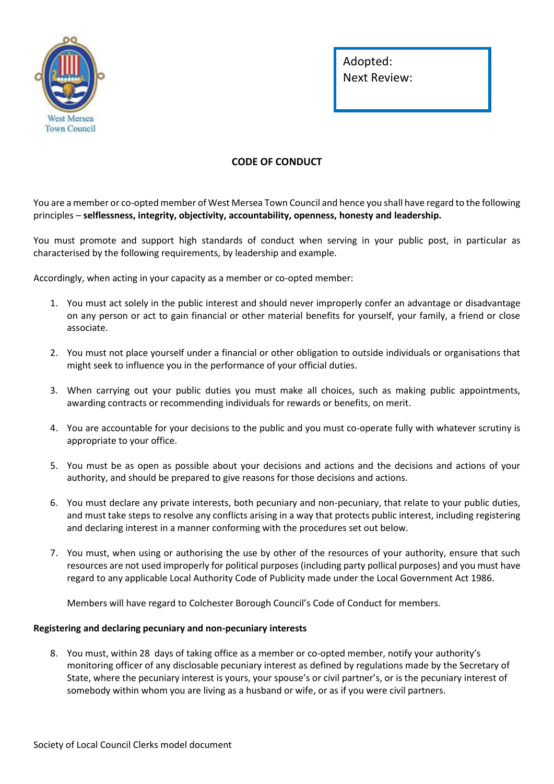

Adopted: Next Review:

## **CODE OF CONDUCT**

You are a member or co-opted member of West Mersea Town Council and hence you shall have regard to the following principles – **selflessness, integrity, objectivity, accountability, openness, honesty and leadership.**

You must promote and support high standards of conduct when serving in your public post, in particular as characterised by the following requirements, by leadership and example.

Accordingly, when acting in your capacity as a member or co-opted member:

- 1. You must act solely in the public interest and should never improperly confer an advantage or disadvantage on any person or act to gain financial or other material benefits for yourself, your family, a friend or close associate.
- 2. You must not place yourself under a financial or other obligation to outside individuals or organisations that might seek to influence you in the performance of your official duties.
- 3. When carrying out your public duties you must make all choices, such as making public appointments, awarding contracts or recommending individuals for rewards or benefits, on merit.
- 4. You are accountable for your decisions to the public and you must co-operate fully with whatever scrutiny is appropriate to your office.
- 5. You must be as open as possible about your decisions and actions and the decisions and actions of your authority, and should be prepared to give reasons for those decisions and actions.
- 6. You must declare any private interests, both pecuniary and non-pecuniary, that relate to your public duties, and must take steps to resolve any conflicts arising in a way that protects public interest, including registering and declaring interest in a manner conforming with the procedures set out below.
- 7. You must, when using or authorising the use by other of the resources of your authority, ensure that such resources are not used improperly for political purposes (including party pollical purposes) and you must have regard to any applicable Local Authority Code of Publicity made under the Local Government Act 1986.

Members will have regard to Colchester Borough Council's Code of Conduct for members.

## **Registering and declaring pecuniary and non-pecuniary interests**

8. You must, within 28 days of taking office as a member or co-opted member, notify your authority's monitoring officer of any disclosable pecuniary interest as defined by regulations made by the Secretary of State, where the pecuniary interest is yours, your spouse's or civil partner's, or is the pecuniary interest of somebody within whom you are living as a husband or wife, or as if you were civil partners.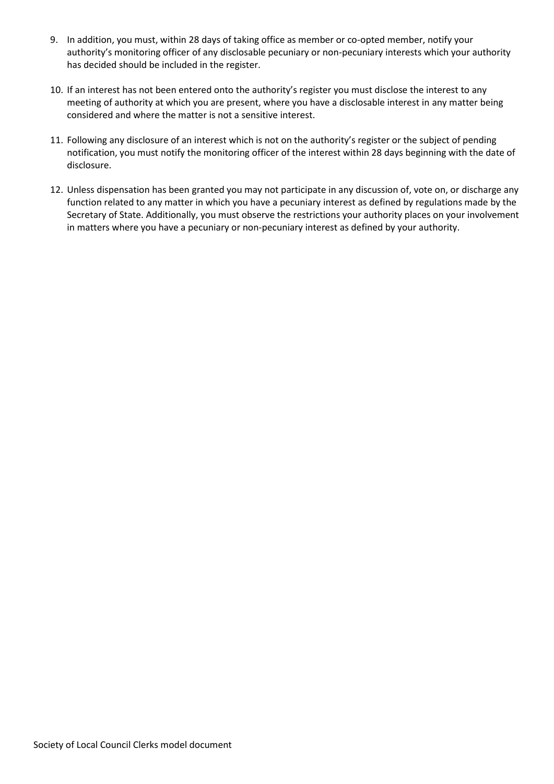- 9. In addition, you must, within 28 days of taking office as member or co-opted member, notify your authority's monitoring officer of any disclosable pecuniary or non-pecuniary interests which your authority has decided should be included in the register.
- 10. If an interest has not been entered onto the authority's register you must disclose the interest to any meeting of authority at which you are present, where you have a disclosable interest in any matter being considered and where the matter is not a sensitive interest.
- 11. Following any disclosure of an interest which is not on the authority's register or the subject of pending notification, you must notify the monitoring officer of the interest within 28 days beginning with the date of disclosure.
- 12. Unless dispensation has been granted you may not participate in any discussion of, vote on, or discharge any function related to any matter in which you have a pecuniary interest as defined by regulations made by the Secretary of State. Additionally, you must observe the restrictions your authority places on your involvement in matters where you have a pecuniary or non-pecuniary interest as defined by your authority.